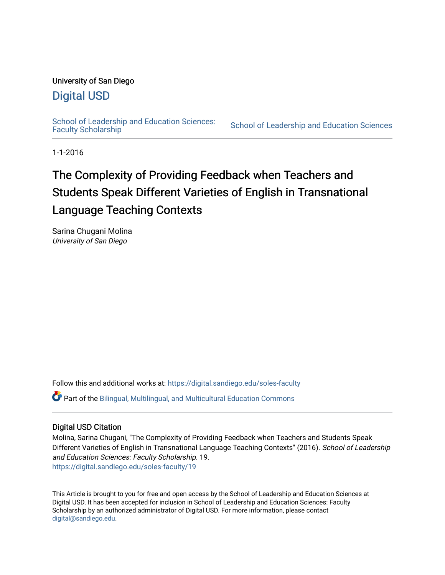# University of San Diego

# [Digital USD](https://digital.sandiego.edu/)

School of Leadership and Education Sciences:<br>Faculty Scholarship

School of Leadership and Education Sciences

1-1-2016

# The Complexity of Providing Feedback when Teachers and Students Speak Different Varieties of English in Transnational Language Teaching Contexts

Sarina Chugani Molina University of San Diego

Follow this and additional works at: [https://digital.sandiego.edu/soles-faculty](https://digital.sandiego.edu/soles-faculty?utm_source=digital.sandiego.edu%2Fsoles-faculty%2F19&utm_medium=PDF&utm_campaign=PDFCoverPages) 

Part of the [Bilingual, Multilingual, and Multicultural Education Commons](https://network.bepress.com/hgg/discipline/785?utm_source=digital.sandiego.edu%2Fsoles-faculty%2F19&utm_medium=PDF&utm_campaign=PDFCoverPages) 

# Digital USD Citation

Molina, Sarina Chugani, "The Complexity of Providing Feedback when Teachers and Students Speak Different Varieties of English in Transnational Language Teaching Contexts" (2016). School of Leadership and Education Sciences: Faculty Scholarship. 19. [https://digital.sandiego.edu/soles-faculty/19](https://digital.sandiego.edu/soles-faculty/19?utm_source=digital.sandiego.edu%2Fsoles-faculty%2F19&utm_medium=PDF&utm_campaign=PDFCoverPages) 

This Article is brought to you for free and open access by the School of Leadership and Education Sciences at Digital USD. It has been accepted for inclusion in School of Leadership and Education Sciences: Faculty Scholarship by an authorized administrator of Digital USD. For more information, please contact [digital@sandiego.edu](mailto:digital@sandiego.edu).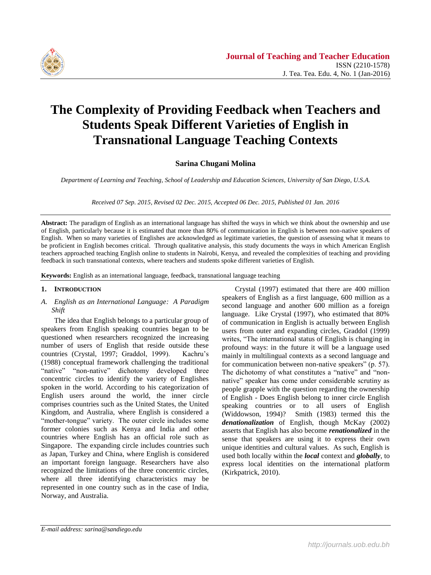

# **The Complexity of Providing Feedback when Teachers and Students Speak Different Varieties of English in Transnational Language Teaching Contexts**

**Sarina Chugani Molina**

*Department of Learning and Teaching, School of Leadership and Education Sciences, University of San Diego, U.S.A.*

*Received 07 Sep. 2015, Revised 02 Dec. 2015, Accepted 06 Dec. 2015, Published 01 Jan. 2016*

**Abstract:** The paradigm of English as an international language has shifted the ways in which we think about the ownership and use of English, particularly because it is estimated that more than 80% of communication in English is between non-native speakers of English. When so many varieties of Englishes are acknowledged as legitimate varieties, the question of assessing what it means to be proficient in English becomes critical. Through qualitative analysis, this study documents the ways in which American English teachers approached teaching English online to students in Nairobi, Kenya, and revealed the complexities of teaching and providing feedback in such transnational contexts, where teachers and students spoke different varieties of English.

**Keywords:** English as an international language, feedback, transnational language teaching

#### **1. INTRODUCTION**

### *A. English as an International Language: A Paradigm Shift*

The idea that English belongs to a particular group of speakers from English speaking countries began to be questioned when researchers recognized the increasing number of users of English that reside outside these countries (Crystal, 1997; Graddol, 1999). Kachru's (1988) conceptual framework challenging the traditional "native" "non-native" dichotomy developed three concentric circles to identify the variety of Englishes spoken in the world. According to his categorization of English users around the world, the inner circle comprises countries such as the United States, the United Kingdom, and Australia, where English is considered a "mother-tongue" variety. The outer circle includes some former colonies such as Kenya and India and other countries where English has an official role such as Singapore. The expanding circle includes countries such as Japan, Turkey and China, where English is considered an important foreign language. Researchers have also recognized the limitations of the three concentric circles, where all three identifying characteristics may be represented in one country such as in the case of India, Norway, and Australia.

Crystal (1997) estimated that there are 400 million speakers of English as a first language, 600 million as a second language and another 600 million as a foreign language. Like Crystal (1997), who estimated that 80% of communication in English is actually between English users from outer and expanding circles, Graddol (1999) writes, "The international status of English is changing in profound ways: in the future it will be a language used mainly in multilingual contexts as a second language and for communication between non-native speakers" (p. 57). The dichotomy of what constitutes a "native" and "nonnative" speaker has come under considerable scrutiny as people grapple with the question regarding the ownership of English - Does English belong to inner circle English speaking countries or to all users of English (Widdowson, 1994)? Smith (1983) termed this the *denationalization* of English, though McKay (2002) asserts that English has also become *renationalized* in the sense that speakers are using it to express their own unique identities and cultural values. As such, English is used both locally within the *local* context and *globally*, to express local identities on the international platform (Kirkpatrick, 2010).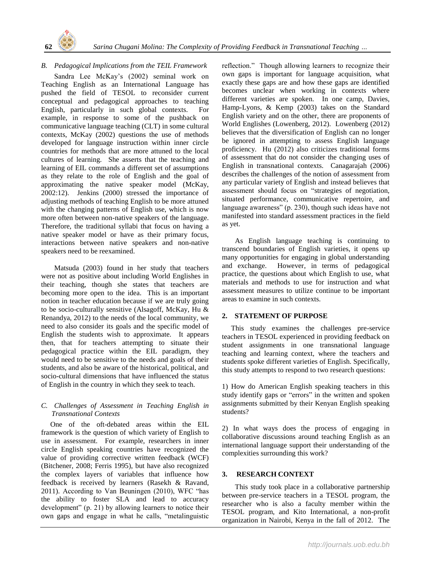

### *B. Pedagogical Implications from the TEIL Framework*

Sandra Lee McKay's (2002) seminal work on Teaching English as an International Language has pushed the field of TESOL to reconsider current conceptual and pedagogical approaches to teaching English, particularly in such global contexts. For example, in response to some of the pushback on communicative language teaching (CLT) in some cultural contexts, McKay (2002) questions the use of methods developed for language instruction within inner circle countries for methods that are more attuned to the local cultures of learning. She asserts that the teaching and learning of EIL commands a different set of assumptions as they relate to the role of English and the goal of approximating the native speaker model (McKay, 2002:12). Jenkins (2000) stressed the importance of adjusting methods of teaching English to be more attuned with the changing patterns of English use, which is now more often between non-native speakers of the language. Therefore, the traditional syllabi that focus on having a native speaker model or have as their primary focus, interactions between native speakers and non-native speakers need to be reexamined.

Matsuda (2003) found in her study that teachers were not as positive about including World Englishes in their teaching, though she states that teachers are becoming more open to the idea. This is an important notion in teacher education because if we are truly going to be socio-culturally sensitive (Alsagoff, McKay, Hu & Renandya, 2012) to the needs of the local community, we need to also consider its goals and the specific model of English the students wish to approximate. It appears then, that for teachers attempting to situate their pedagogical practice within the EIL paradigm, they would need to be sensitive to the needs and goals of their students, and also be aware of the historical, political, and socio-cultural dimensions that have influenced the status of English in the country in which they seek to teach.

# *C. Challenges of Assessment in Teaching English in Transnational Contexts*

 One of the oft-debated areas within the EIL framework is the question of which variety of English to use in assessment. For example, researchers in inner circle English speaking countries have recognized the value of providing corrective written feedback (WCF) (Bitchener, 2008; Ferris 1995), but have also recognized the complex layers of variables that influence how feedback is received by learners (Rasekh & Ravand, 2011). According to Van Beuningen (2010), WFC "has the ability to foster SLA and lead to accuracy development" (p. 21) by allowing learners to notice their own gaps and engage in what he calls, "metalinguistic reflection." Though allowing learners to recognize their own gaps is important for language acquisition, what exactly these gaps are and how these gaps are identified becomes unclear when working in contexts where different varieties are spoken. In one camp, Davies, Hamp-Lyons, & Kemp (2003) takes on the Standard English variety and on the other, there are proponents of World Englishes (Lowenberg, 2012). Lowenberg (2012) believes that the diversification of English can no longer be ignored in attempting to assess English language proficiency. Hu (2012) also criticizes traditional forms of assessment that do not consider the changing uses of English in transnational contexts. Canagarajah (2006) describes the challenges of the notion of assessment from any particular variety of English and instead believes that assessment should focus on "strategies of negotiation, situated performance, communicative repertoire, and language awareness" (p. 230), though such ideas have not manifested into standard assessment practices in the field as yet.

As English language teaching is continuing to transcend boundaries of English varieties, it opens up many opportunities for engaging in global understanding and exchange. However, in terms of pedagogical practice, the questions about which English to use, what materials and methods to use for instruction and what assessment measures to utilize continue to be important areas to examine in such contexts.

# **2. STATEMENT OF PURPOSE**

 This study examines the challenges pre-service teachers in TESOL experienced in providing feedback on student assignments in one transnational language teaching and learning context, where the teachers and students spoke different varieties of English. Specifically, this study attempts to respond to two research questions:

1) How do American English speaking teachers in this study identify gaps or "errors" in the written and spoken assignments submitted by their Kenyan English speaking students?

2) In what ways does the process of engaging in collaborative discussions around teaching English as an international language support their understanding of the complexities surrounding this work?

# **3. RESEARCH CONTEXT**

This study took place in a collaborative partnership between pre-service teachers in a TESOL program, the researcher who is also a faculty member within the TESOL program, and Kito International, a non-profit organization in Nairobi, Kenya in the fall of 2012. The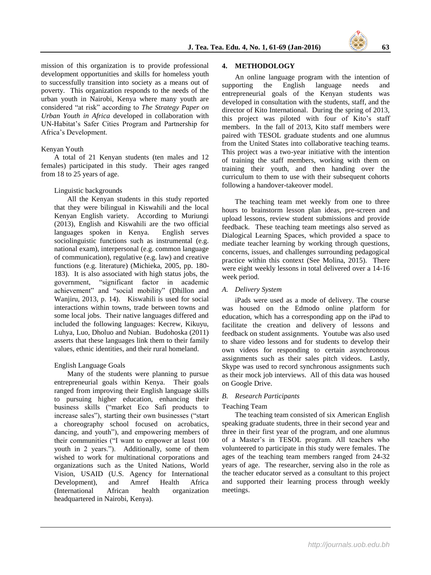mission of this organization is to provide professional development opportunities and skills for homeless youth to successfully transition into society as a means out of poverty. This organization responds to the needs of the urban youth in Nairobi, Kenya where many youth are considered "at risk" according to *The Strategy Paper on Urban Youth in Africa* developed in collaboration with UN-Habitat's Safer Cities Program and Partnership for Africa's Development.

### Kenyan Youth

A total of 21 Kenyan students (ten males and 12 females) participated in this study. Their ages ranged from 18 to 25 years of age.

#### Linguistic backgrounds

All the Kenyan students in this study reported that they were bilingual in Kiswahili and the local Kenyan English variety. According to Muriungi (2013), English and Kiswahili are the two official languages spoken in Kenya. English serves sociolinguistic functions such as instrumental (e.g. national exam), interpersonal (e.g. common language of communication), regulative (e.g. law) and creative functions (e.g. literature) (Michieka, 2005, pp. 180- 183). It is also associated with high status jobs, the government, "significant factor in academic achievement" and "social mobility" (Dhillon and Wanjiru, 2013, p. 14). Kiswahili is used for social interactions within towns, trade between towns and some local jobs. Their native languages differed and included the following languages: Kecrew, Kikuyu, Luhya, Luo, Dholuo and Nubian. Budohoska (2011) asserts that these languages link them to their family values, ethnic identities, and their rural homeland.

# English Language Goals

Many of the students were planning to pursue entrepreneurial goals within Kenya. Their goals ranged from improving their English language skills to pursuing higher education, enhancing their business skills ("market Eco Safi products to increase sales"), starting their own businesses ("start a choreography school focused on acrobatics, dancing, and youth"), and empowering members of their communities ("I want to empower at least 100 youth in 2 years."). Additionally, some of them wished to work for multinational corporations and organizations such as the United Nations, World Vision, USAID (U.S. Agency for International Development), and Amref Health Africa (International African health organization headquartered in Nairobi, Kenya).

### **4. METHODOLOGY**

An online language program with the intention of supporting the English language needs and entrepreneurial goals of the Kenyan students was developed in consultation with the students, staff, and the director of Kito International. During the spring of 2013, this project was piloted with four of Kito's staff members. In the fall of 2013, Kito staff members were paired with TESOL graduate students and one alumnus from the United States into collaborative teaching teams. This project was a two-year initiative with the intention of training the staff members, working with them on training their youth, and then handing over the curriculum to them to use with their subsequent cohorts following a handover-takeover model.

The teaching team met weekly from one to three hours to brainstorm lesson plan ideas, pre-screen and upload lessons, review student submissions and provide feedback. These teaching team meetings also served as Dialogical Learning Spaces, which provided a space to mediate teacher learning by working through questions, concerns, issues, and challenges surrounding pedagogical practice within this context (See Molina, 2015). There were eight weekly lessons in total delivered over a 14-16 week period.

#### *A. Delivery System*

iPads were used as a mode of delivery. The course was housed on the Edmodo online platform for education, which has a corresponding app on the iPad to facilitate the creation and delivery of lessons and feedback on student assignments. Youtube was also used to share video lessons and for students to develop their own videos for responding to certain asynchronous assignments such as their sales pitch videos. Lastly, Skype was used to record synchronous assignments such as their mock job interviews. All of this data was housed on Google Drive.

#### *B. Research Participants*

#### Teaching Team

The teaching team consisted of six American English speaking graduate students, three in their second year and three in their first year of the program, and one alumnus of a Master's in TESOL program. All teachers who volunteered to participate in this study were females. The ages of the teaching team members ranged from 24-32 years of age. The researcher, serving also in the role as the teacher educator served as a consultant to this project and supported their learning process through weekly meetings.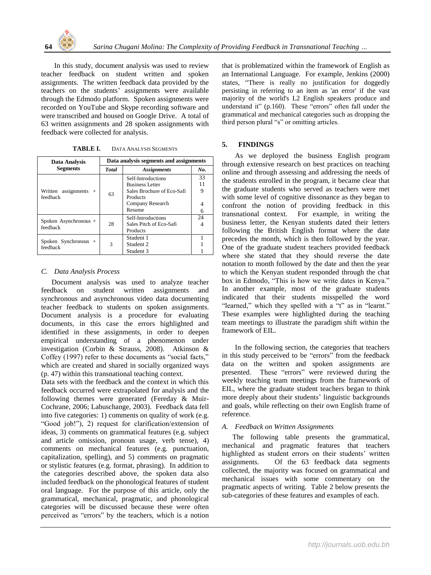In this study, document analysis was used to review teacher feedback on student written and spoken assignments. The written feedback data provided by the teachers on the students' assignments were available through the Edmodo platform. Spoken assignments were recorded on YouTube and Skype recording software and were transcribed and housed on Google Drive. A total of 63 written assignments and 28 spoken assignments with feedback were collected for analysis.

| Data Analysis                          | Data analysis segments and assignments |                                                                                                                      |                    |
|----------------------------------------|----------------------------------------|----------------------------------------------------------------------------------------------------------------------|--------------------|
| <b>Segments</b>                        | <b>Total</b>                           | <i><b>Assignments</b></i>                                                                                            | No.                |
| Written<br>$assignments +$<br>feedback | 63                                     | Self-Introductions<br><b>Business Letter</b><br>Sales Brochure of Eco-Safi<br>Products<br>Company Research<br>Resume | 33<br>11<br>9<br>6 |
| Spoken Asynchronous +<br>feedback      | 28                                     | Self-Introductions<br>Sales Pitch of Eco-Safi<br>Products                                                            | 24                 |
| Spoken Synchronous +<br>feedback       | 3                                      | Student 1<br>Student <sub>2</sub><br>Student 3                                                                       |                    |

**TABLE I.** DATA ANALYSIS SEGMENTS

### *C. Data Analysis Process*

Document analysis was used to analyze teacher feedback on student written assignments and synchronous and asynchronous video data documenting teacher feedback to students on spoken assignments. Document analysis is a procedure for evaluating documents, in this case the errors highlighted and identified in these assignments, in order to deepen empirical understanding of a phenomenon under investigation (Corbin & Strauss, 2008). Atkinson & Coffey (1997) refer to these documents as "social facts," which are created and shared in socially organized ways (p. 47) within this transnational teaching context.

Data sets with the feedback and the context in which this feedback occurred were extrapolated for analysis and the following themes were generated (Fereday & Muir-Cochrane, 2006; Labuschange, 2003). Feedback data fell into five categories: 1) comments on quality of work (e.g. "Good job!"), 2) request for clarification/extension of ideas, 3) comments on grammatical features (e.g. subject and article omission, pronoun usage, verb tense), 4) comments on mechanical features (e.g. punctuation, capitalization, spelling), and 5) comments on pragmatic or stylistic features (e.g. format, phrasing). In addition to the categories described above, the spoken data also included feedback on the phonological features of student oral language. For the purpose of this article, only the grammatical, mechanical, pragmatic, and phonological categories will be discussed because these were often perceived as "errors" by the teachers, which is a notion that is problematized within the framework of English as an International Language. For example, Jenkins (2000) states, "There is really no justification for doggedly persisting in referring to an item as 'an error' if the vast majority of the world's L2 English speakers produce and understand it" (p.160). These "errors" often fall under the grammatical and mechanical categories such as dropping the third person plural "s" or omitting articles.

# **5. FINDINGS**

As we deployed the business English program through extensive research on best practices on teaching online and through assessing and addressing the needs of the students enrolled in the program, it became clear that the graduate students who served as teachers were met with some level of cognitive dissonance as they began to confront the notion of providing feedback in this transnational context. For example, in writing the business letter, the Kenyan students dated their letters following the British English format where the date precedes the month, which is then followed by the year. One of the graduate student teachers provided feedback where she stated that they should reverse the date notation to month followed by the date and then the year to which the Kenyan student responded through the chat box in Edmodo, "This is how we write dates in Kenya." In another example, most of the graduate students indicated that their students misspelled the word "learned," which they spelled with a "t" as in "learnt." These examples were highlighted during the teaching team meetings to illustrate the paradigm shift within the framework of EIL.

In the following section, the categories that teachers in this study perceived to be "errors" from the feedback data on the written and spoken assignments are presented. These "errors" were reviewed during the weekly teaching team meetings from the framework of EIL, where the graduate student teachers began to think more deeply about their students' linguistic backgrounds and goals, while reflecting on their own English frame of reference.

# *A. Feedback on Written Assignments*

The following table presents the grammatical, mechanical and pragmatic features that teachers highlighted as student errors on their students' written assignments. Of the 63 feedback data segments collected, the majority was focused on grammatical and mechanical issues with some commentary on the pragmatic aspects of writing. Table 2 below presents the sub-categories of these features and examples of each.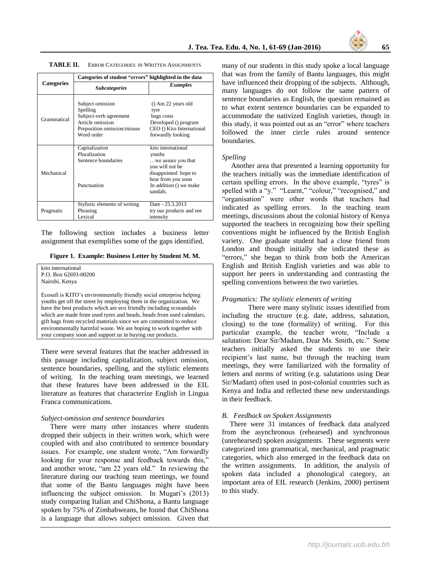|                   | Categories of student "errors" highlighted in the data                                                                  |                                                                                                                                                          |  |  |
|-------------------|-------------------------------------------------------------------------------------------------------------------------|----------------------------------------------------------------------------------------------------------------------------------------------------------|--|--|
| <b>Categories</b> | <b>Subcategories</b>                                                                                                    | <i>Examples</i>                                                                                                                                          |  |  |
| Grammatical       | Subject omission<br>Spelling<br>Subject-verb agreement<br>Article omission<br>Preposition omission/misuse<br>Word order | $()$ Am 22 years old<br>tyre<br>bags costs<br>Developed () program<br>CEO () Kito International<br>forwardly looking                                     |  |  |
| Mechanical        | Capitalization<br>Pluralization<br>Sentence boundaries<br>Punctuation                                                   | kito international<br>youths<br>we assure you that<br>you will not be<br>disappointed hope to<br>hear from you soon<br>In addition () we make<br>sandals |  |  |
| Pragmatic         | Stylistic elements of writing<br>Phrasing<br>Lexical                                                                    | Date - 25.3.2013<br>try our products and see<br>intensity                                                                                                |  |  |

**TABLE II.** ERROR CATEGORIES IN WRITTEN ASSIGNMENTS

The following section includes a business letter assignment that exemplifies some of the gaps identified.

**Figure 1. Example: Business Letter by Student M. M.**

kito international P.O. Box 62693-00200 Nairobi, Kenya

Ecosafi is KITO's environmentally friendly social enterprise helping youths get off the street by employing them in the organization. We have the best products which are eco friendly including ecosandals which are made from used tyres and beads, beads from used calendars, gift bags from recycled materials since we are committed to reduce environmentally harmful waste. We are hoping to work together with your company soon and support us in buying our products.

There were several features that the teacher addressed in this passage including capitalization, subject omission, sentence boundaries, spelling, and the stylistic elements of writing. In the teaching team meetings, we learned that these features have been addressed in the EIL literature as features that characterize English in Lingua Franca communications.

#### *Subject-omission and sentence boundaries*

 There were many other instances where students dropped their subjects in their written work, which were coupled with and also contributed to sentence boundary issues. For example, one student wrote, "Am forwardly looking for your response and feedback towards this," and another wrote, "am 22 years old." In reviewing the literature during our teaching team meetings, we found that some of the Bantu languages might have been influencing the subject omission. In Mugari's (2013) study comparing Italian and ChiShona, a Bantu language spoken by 75% of Zimbabweans, he found that ChiShona is a language that allows subject omission. Given that many of our students in this study spoke a local language that was from the family of Bantu languages, this might have influenced their dropping of the subjects. Although, many languages do not follow the same pattern of sentence boundaries as English, the question remained as to what extent sentence boundaries can be expanded to accommodate the nativized English varieties, though in this study, it was pointed out as an "error" where teachers followed the inner circle rules around sentence boundaries.

#### *Spelling*

 Another area that presented a learning opportunity for the teachers initially was the immediate identification of certain spelling errors. In the above example, "tyres" is spelled with a "y." "Learnt," "colour," "recognised," and "organisation" were other words that teachers had indicated as spelling errors. In the teaching team meetings, discussions about the colonial history of Kenya supported the teachers in recognizing how their spelling conventions might be influenced by the British English variety. One graduate student had a close friend from London and though initially she indicated these as "errors," she began to think from both the American English and British English varieties and was able to support her peers in understanding and contrasting the spelling conventions between the two varieties.

#### *Pragmatics: The stylistic elements of writing*

There were many stylistic issues identified from including the structure (e.g. date, address, salutation, closing) to the tone (formality) of writing. For this particular example, the teacher wrote, "Include a salutation: Dear Sir/Madam, Dear Ms. Smith, etc." Some teachers initially asked the students to use their recipient's last name, but through the teaching team meetings, they were familiarized with the formality of letters and norms of writing (e.g. salutations using Dear Sir/Madam) often used in post-colonial countries such as Kenya and India and reflected these new understandings in their feedback.

#### *B. Feedback on Spoken Assignments*

There were 31 instances of feedback data analyzed from the asynchronous (rehearsed) and synchronous (unrehearsed) spoken assignments. These segments were categorized into grammatical, mechanical, and pragmatic categories, which also emerged in the feedback data on the written assignments. In addition, the analysis of spoken data included a phonological category, an important area of EIL research (Jenkins, 2000) pertinent to this study.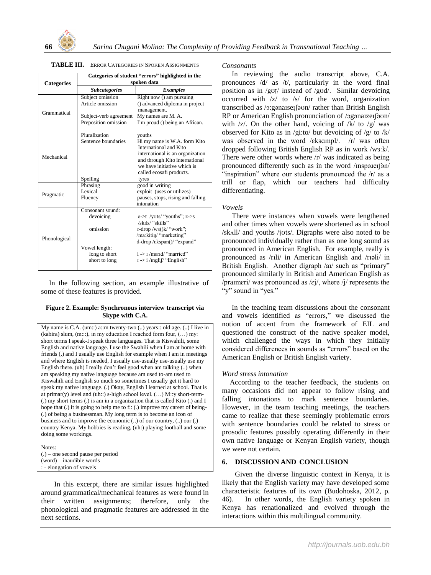

|                   | Categories of student "errors" highlighted in the                                            |                                                                                                                                                                                                                                   |  |  |
|-------------------|----------------------------------------------------------------------------------------------|-----------------------------------------------------------------------------------------------------------------------------------------------------------------------------------------------------------------------------------|--|--|
| <b>Categories</b> | spoken data                                                                                  |                                                                                                                                                                                                                                   |  |  |
|                   | <b>Subcategories</b>                                                                         | <b>Examples</b>                                                                                                                                                                                                                   |  |  |
| Grammatical       | Subject omission<br>Article omission<br>Subject-verb agreement                               | Right now () am pursuing<br>() advanced diploma in project<br>management.<br>My names are M. A.                                                                                                                                   |  |  |
|                   | Preposition omission                                                                         | I'm proud () being an African.                                                                                                                                                                                                    |  |  |
| Mechanical        | Pluralization<br>Sentence boundaries                                                         | youths<br>Hi my name is W.A. form Kito<br>International and Kito<br>international is an organization<br>and through Kito international<br>we have initiative which is<br>called ecosafi products.                                 |  |  |
|                   | Spelling                                                                                     | tyres                                                                                                                                                                                                                             |  |  |
| Pragmatic         | Phrasing<br>Lexical<br>Fluency                                                               | good in writing<br>exploit (uses or utilizes)<br>pauses, stops, rising and falling<br>intonation                                                                                                                                  |  |  |
| Phonological      | Consonant sound:<br>devoicing<br>omission<br>Vowel length:<br>long to short<br>short to long | $\theta$ ->t /yots/ "youths"; z->s<br>/skils/ "skills"<br>r-drop /w3() $k$ / "work";<br>/ma:kitin/ "marketing"<br>$d$ -drop/ $\epsilon$ kspan $()$ "expand"<br>$i \gg i$ /merid/ "married"<br>$I \rightarrow i$ /mglif/ "English" |  |  |

**TABLE III.** ERROR CATEGORIES IN SPOKEN ASSIGNMENTS

In the following section, an example illustrative of some of these features is provided.

#### **Figure 2. Example: Synchronous interview transcript via Skype with C.A.**

My name is C.A. (um::) a::m twenty-two (..) years:: old age. (..) I live in (kabira) slum, (m:::), in my education I reached form four, (…) my: short terms I speak-I speak three languages. That is Kiswahili, some English and native language. I use the Swahili when I am at home with friends (.) and I usually use English for example when I am in meetings and where English is needed, I usually use-usually use-usually use my English there. (uh) I really don't feel good when am talking (..) when am speaking my native language because am used to-am used to Kiswahili and English so much so sometimes I usually get it hard to speak my native language. (.) Okay, English I learned at school. That is at primar(y) level and (uh::) s-high school level. (…) M::y short-term- (.) my short terms (.) is am in a organization that is called Kito (.) and I hope that (.) it is going to help me to f:: (.) improve my career of being-(.) of being a businessman. My long term is to become an icon of business and to improve the economic (..) of our country, (..) our (.) country Kenya. My hobbies is reading, (uh:) playing football and some doing some workings.

Notes: (.) – one second pause per period (word) – inaudible words : - elongation of vowels

In this excerpt, there are similar issues highlighted around grammatical/mechanical features as were found in their written assignments; therefore, only the phonological and pragmatic features are addressed in the next sections.

### *Consonants*

In reviewing the audio transcript above, C.A. pronounces /d/ as /t/, particularly in the word final position as in /gʊʈ/ instead of /gʊd/. Similar devoicing occurred with  $|z|$  to  $|s|$  for the word, organization transcribed as /ɔ:gənaɪseɪʃəʊn/ rather than British English RP or American English pronunciation of /ɔgənaɪzeɪʃəʊn/ with  $\ell z$ . On the other hand, voicing of  $\ell k / \tau$  to  $\ell g / \tau w$ observed for Kito as in /gi:to/ but devoicing of /g/ to /k/ was observed in the word /ɛksɑmpl/. /r/ was often dropped following British English RP as in work /wɜːk/. There were other words where /r/ was indicated as being pronounced differently such as in the word /inspairifan/ "inspiration" where our students pronounced the  $/r/$  as a trill or flap, which our teachers had difficulty differentiating.

### *Vowels*

There were instances when vowels were lengthened and other times when vowels were shortened as in school /skʌll/ and youths /jʊts/. Digraphs were also noted to be pronounced individually rather than as one long sound as pronounced in American English. For example, really is pronounced as /rɪli/ in American English and /rɪəli/ in British English. Another digraph /aɪ/ such as "primary" pronounced similarly in British and American English as /praimeri/ was pronounced as / $\varepsilon$ j/, where /j/ represents the "y" sound in "yes."

In the teaching team discussions about the consonant and vowels identified as "errors," we discussed the notion of accent from the framework of EIL and questioned the construct of the native speaker model, which challenged the ways in which they initially considered differences in sounds as "errors" based on the American English or British English variety.

# *Word stress intonation*

According to the teacher feedback, the students on many occasions did not appear to follow rising and falling intonations to mark sentence boundaries. However, in the team teaching meetings, the teachers came to realize that these seemingly problematic errors with sentence boundaries could be related to stress or prosodic features possibly operating differently in their own native language or Kenyan English variety, though we were not certain.

#### **6. DISCUSSION AND CONCLUSION**

Given the diverse linguistic context in Kenya, it is likely that the English variety may have developed some characteristic features of its own (Budohoska, 2012, p. 46). In other words, the English variety spoken in Kenya has renationalized and evolved through the interactions within this multilingual community.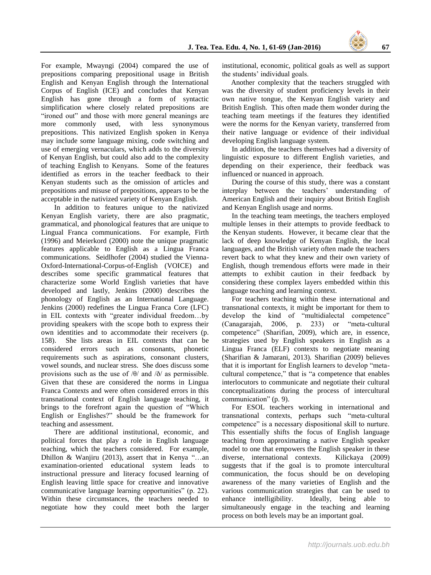For example, Mwayngi (2004) compared the use of prepositions comparing prepositional usage in British English and Kenyan English through the International Corpus of English (ICE) and concludes that Kenyan English has gone through a form of syntactic simplification where closely related prepositions are "ironed out" and those with more general meanings are more commonly used, with less synonymous prepositions. This nativized English spoken in Kenya may include some language mixing, code switching and use of emerging vernaculars, which adds to the diversity of Kenyan English, but could also add to the complexity of teaching English to Kenyans. Some of the features identified as errors in the teacher feedback to their Kenyan students such as the omission of articles and prepositions and misuse of prepositions, appears to be the acceptable in the nativized variety of Kenyan English.

In addition to features unique to the nativized Kenyan English variety, there are also pragmatic, grammatical, and phonological features that are unique to Lingual Franca communications. For example, Firth (1996) and Meierkord (2000) note the unique pragmatic features applicable to English as a Lingua Franca communications. Seidlhofer (2004) studied the Vienna-Oxford-International-Corpus-of-English (VOICE) and describes some specific grammatical features that characterize some World English varieties that have developed and lastly, Jenkins (2000) describes the phonology of English as an International Language. Jenkins (2000) redefines the Lingua Franca Core (LFC) in EIL contexts with "greater individual freedom…by providing speakers with the scope both to express their own identities and to accommodate their receivers (p. 158). She lists areas in EIL contexts that can be considered errors such as consonants, phonetic requirements such as aspirations, consonant clusters, vowel sounds, and nuclear stress. She does discuss some provisions such as the use of  $\theta$  and  $\delta$  as permissible. Given that these are considered the norms in Lingua Franca Contexts and were often considered errors in this transnational context of English language teaching, it brings to the forefront again the question of "Which English or Englishes?" should be the framework for teaching and assessment.

There are additional institutional, economic, and political forces that play a role in English language teaching, which the teachers considered. For example, Dhillon & Wanjiru (2013), assert that in Kenya "…an examination-oriented educational system leads to instructional pressure and literacy focused learning of English leaving little space for creative and innovative communicative language learning opportunities" (p. 22). Within these circumstances, the teachers needed to negotiate how they could meet both the larger

institutional, economic, political goals as well as support the students' individual goals.

 Another complexity that the teachers struggled with was the diversity of student proficiency levels in their own native tongue, the Kenyan English variety and British English. This often made them wonder during the teaching team meetings if the features they identified were the norms for the Kenyan variety, transferred from their native language or evidence of their individual developing English language system.

In addition, the teachers themselves had a diversity of linguistic exposure to different English varieties, and depending on their experience, their feedback was influenced or nuanced in approach.

During the course of this study, there was a constant interplay between the teachers' understanding of American English and their inquiry about British English and Kenyan English usage and norms.

In the teaching team meetings, the teachers employed multiple lenses in their attempts to provide feedback to the Kenyan students. However, it became clear that the lack of deep knowledge of Kenyan English, the local languages, and the British variety often made the teachers revert back to what they knew and their own variety of English, though tremendous efforts were made in their attempts to exhibit caution in their feedback by considering these complex layers embedded within this language teaching and learning context.

For teachers teaching within these international and transnational contexts, it might be important for them to develop the kind of "multidialectal competence" (Canagarajah, 2006, p. 233) or "meta-cultural competence" (Sharifian, 2009), which are, in essence, strategies used by English speakers in English as a Lingua Franca (ELF) contexts to negotiate meaning (Sharifian & Jamarani, 2013). Sharifian (2009) believes that it is important for English learners to develop "metacultural competence," that is "a competence that enables interlocutors to communicate and negotiate their cultural conceptualizations during the process of intercultural communication" (p. 9).

For ESOL teachers working in international and transnational contexts, perhaps such "meta-cultural competence" is a necessary dispositional skill to nurture. This essentially shifts the focus of English language teaching from approximating a native English speaker model to one that empowers the English speaker in these diverse, international contexts. Kilickaya (2009) suggests that if the goal is to promote intercultural communication, the focus should be on developing awareness of the many varieties of English and the various communication strategies that can be used to enhance intelligibility. Ideally, being able to simultaneously engage in the teaching and learning process on both levels may be an important goal.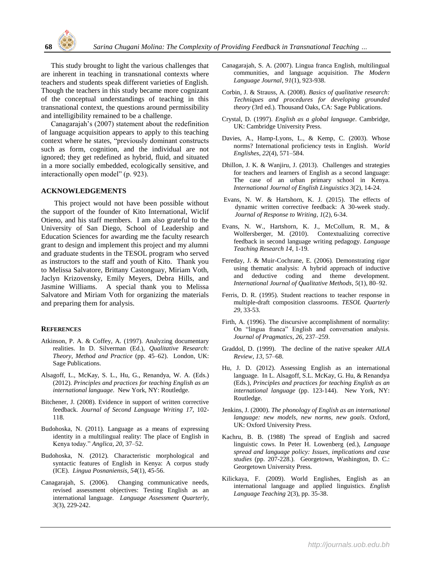This study brought to light the various challenges that are inherent in teaching in transnational contexts where teachers and students speak different varieties of English. Though the teachers in this study became more cognizant of the conceptual understandings of teaching in this transnational context, the questions around permissibility and intelligibility remained to be a challenge.

Canagarajah's (2007) statement about the redefinition of language acquisition appears to apply to this teaching context where he states, "previously dominant constructs such as form, cognition, and the individual are not ignored; they get redefined as hybrid, fluid, and situated in a more socially embedded, ecologically sensitive, and interactionally open model" (p. 923).

#### **ACKNOWLEDGEMENTS**

This project would not have been possible without the support of the founder of Kito International, Wiclif Otieno, and his staff members. I am also grateful to the University of San Diego, School of Leadership and Education Sciences for awarding me the faculty research grant to design and implement this project and my alumni and graduate students in the TESOL program who served as instructors to the staff and youth of Kito. Thank you to Melissa Salvatore, Brittany Castonguay, Miriam Voth, Jaclyn Krizovensky, Emily Meyers, Debra Hills, and Jasmine Williams. A special thank you to Melissa Salvatore and Miriam Voth for organizing the materials and preparing them for analysis.

#### **REFERENCES**

- Atkinson, P. A. & Coffey, A. (1997). Analyzing documentary realities. In D. Silverman (Ed.), *Qualitative Research: Theory, Method and Practice* (pp. 45–62). London, UK: Sage Publications.
- Alsagoff, L., McKay, S. L., Hu, G., Renandya, W. A. (Eds.) (2012). *Principles and practices for teaching English as an international language*. New York, NY: Routledge.
- Bitchener, J. (2008). Evidence in support of written corrective feedback. *Journal of Second Language Writing 17*, 102- 118.
- Budohoska, N. (2011). Language as a means of expressing identity in a multilingual reality: The place of English in Kenya today." *Anglica, 20*, 37–52.
- Budohoska, N. (2012). Characteristic morphological and syntactic features of English in Kenya: A corpus study (ICE). *Lingua Posnaniensis*, *54*(1), 45-56.
- Canagarajah, S. (2006). Changing communicative needs, revised assessment objectives: Testing English as an international language. *Language Assessment Quarterly*, *3*(3), 229-242.
- Canagarajah, S. A. (2007). Lingua franca English, multilingual communities, and language acquisition. *The Modern Language Journal*, *91*(1), 923-938.
- Corbin, J. & Strauss, A. (2008). *Basics of qualitative research: Techniques and procedures for developing grounded theory* (3rd ed.). Thousand Oaks, CA: Sage Publications.
- Crystal, D. (1997). *English as a global language*. Cambridge, UK: Cambridge University Press.
- Davies, A., Hamp-Lyons, L., & Kemp, C. (2003). Whose norms? International proficiency tests in English. *World Englishes*, *22*(4), 571–584.
- Dhillon, J. K. & Wanjiru, J. (2013). Challenges and strategies for teachers and learners of English as a second language: The case of an urban primary school in Kenya. *International Journal of English Linguistics 3*(2), 14-24.
- Evans, N. W. & Hartshorn, K. J. (2015). The effects of dynamic written corrective feedback: A 30-week study. *Journal of Response to Writing*, *1*(2), 6-34.
- Evans, N. W., Hartshorn, K. J., McCollum, R. M., & Wolfersberger, M. (2010). Contextualizing corrective feedback in second language writing pedagogy. *Language Teaching Research 14*, 1-19.
- Fereday, J. & Muir-Cochrane, E. (2006). Demonstrating rigor using thematic analysis: A hybrid approach of inductive and deductive coding and theme development. *International Journal of Qualitative Methods*, *5*(1), 80–92.
- Ferris, D. R. (1995). Student reactions to teacher response in multiple-draft composition classrooms. *TESOL Quarterly 29*, 33-53.
- Firth, A. (1996). The discursive accomplishment of normality: On "lingua franca" English and conversation analysis. *Journal of Pragmatics*, *26*, 237–259.
- Graddol, D. (1999). The decline of the native speaker *AILA Review*, *13*, 57–68.
- Hu, J. D. (2012). Assessing English as an international language. In L. Alsagoff, S.L. McKay, G. Hu, & Renandya (Eds.), *Principles and practices for teaching English as an international language* (pp. 123-144). New York, NY: Routledge.
- Jenkins, J. (2000). *The phonology of English as an international language: new models, new norms, new goals*. Oxford, UK: Oxford University Press.
- Kachru, B. B. (1988) The spread of English and sacred linguistic cows. In Peter H. Lowenberg (ed.), *Language spread and language policy: Issues, implications and case studies* (pp. 207-228.). Georgetown, Washington, D. C.: Georgetown University Press.
- Kilickaya, F. (2009). World Englishes, English as an international language and applied linguistics. *English Language Teaching* 2(3), pp. 35-38.